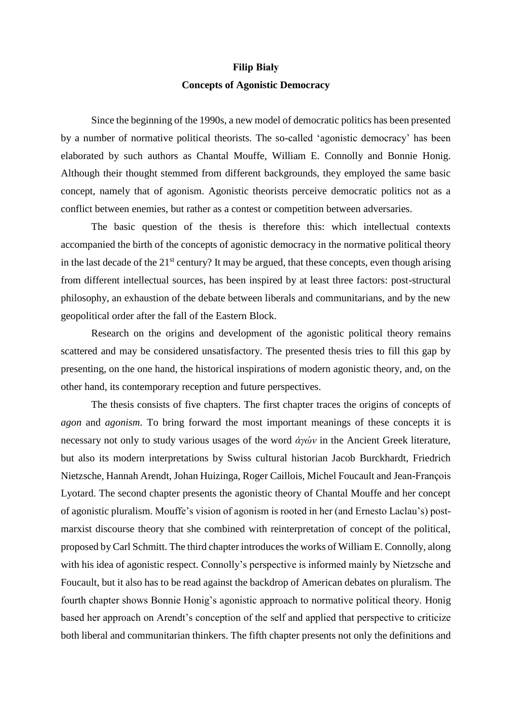## **Filip Biały Concepts of Agonistic Democracy**

Since the beginning of the 1990s, a new model of democratic politics has been presented by a number of normative political theorists. The so-called 'agonistic democracy' has been elaborated by such authors as Chantal Mouffe, William E. Connolly and Bonnie Honig. Although their thought stemmed from different backgrounds, they employed the same basic concept, namely that of agonism. Agonistic theorists perceive democratic politics not as a conflict between enemies, but rather as a contest or competition between adversaries.

The basic question of the thesis is therefore this: which intellectual contexts accompanied the birth of the concepts of agonistic democracy in the normative political theory in the last decade of the  $21<sup>st</sup>$  century? It may be argued, that these concepts, even though arising from different intellectual sources, has been inspired by at least three factors: post-structural philosophy, an exhaustion of the debate between liberals and communitarians, and by the new geopolitical order after the fall of the Eastern Block.

Research on the origins and development of the agonistic political theory remains scattered and may be considered unsatisfactory. The presented thesis tries to fill this gap by presenting, on the one hand, the historical inspirations of modern agonistic theory, and, on the other hand, its contemporary reception and future perspectives.

The thesis consists of five chapters. The first chapter traces the origins of concepts of *agon* and *agonism*. To bring forward the most important meanings of these concepts it is necessary not only to study various usages of the word *ἀγών* in the Ancient Greek literature, but also its modern interpretations by Swiss cultural historian Jacob Burckhardt, Friedrich Nietzsche, Hannah Arendt, Johan Huizinga, Roger Caillois, Michel Foucault and Jean-François Lyotard. The second chapter presents the agonistic theory of Chantal Mouffe and her concept of agonistic pluralism. Mouffe's vision of agonism is rooted in her (and Ernesto Laclau's) postmarxist discourse theory that she combined with reinterpretation of concept of the political, proposed by Carl Schmitt. The third chapter introduces the works of William E. Connolly, along with his idea of agonistic respect. Connolly's perspective is informed mainly by Nietzsche and Foucault, but it also has to be read against the backdrop of American debates on pluralism. The fourth chapter shows Bonnie Honig's agonistic approach to normative political theory. Honig based her approach on Arendt's conception of the self and applied that perspective to criticize both liberal and communitarian thinkers. The fifth chapter presents not only the definitions and